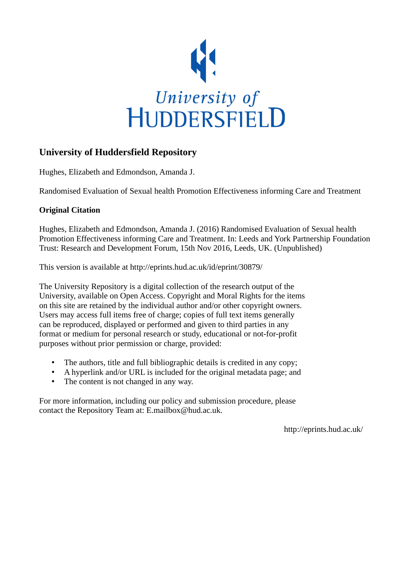

## **University of Huddersfield Repository**

Hughes, Elizabeth and Edmondson, Amanda J.

Randomised Evaluation of Sexual health Promotion Effectiveness informing Care and Treatment

## **Original Citation**

Hughes, Elizabeth and Edmondson, Amanda J. (2016) Randomised Evaluation of Sexual health Promotion Effectiveness informing Care and Treatment. In: Leeds and York Partnership Foundation Trust: Research and Development Forum, 15th Nov 2016, Leeds, UK. (Unpublished)

This version is available at http://eprints.hud.ac.uk/id/eprint/30879/

The University Repository is a digital collection of the research output of the University, available on Open Access. Copyright and Moral Rights for the items on this site are retained by the individual author and/or other copyright owners. Users may access full items free of charge; copies of full text items generally can be reproduced, displayed or performed and given to third parties in any format or medium for personal research or study, educational or not-for-profit purposes without prior permission or charge, provided:

- The authors, title and full bibliographic details is credited in any copy;
- A hyperlink and/or URL is included for the original metadata page; and
- The content is not changed in any way.

For more information, including our policy and submission procedure, please contact the Repository Team at: E.mailbox@hud.ac.uk.

http://eprints.hud.ac.uk/